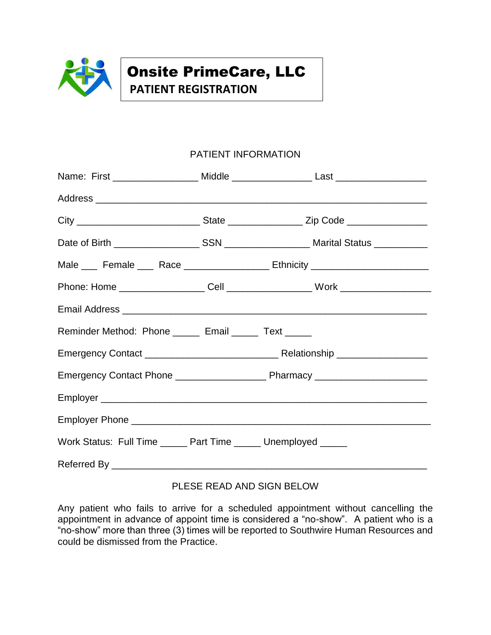

# Onsite PrimeCare, LLC

**PATIENT REGISTRATION**

### PATIENT INFORMATION

|                                                                 |  | Name: First __________________ Middle ___________________ Last _________________                    |  |  |
|-----------------------------------------------------------------|--|-----------------------------------------------------------------------------------------------------|--|--|
|                                                                 |  |                                                                                                     |  |  |
|                                                                 |  | City ___________________________________State ______________________Zip Code ______________________ |  |  |
|                                                                 |  |                                                                                                     |  |  |
|                                                                 |  | Male ____ Female ____ Race __________________ Ethnicity ________________________                    |  |  |
|                                                                 |  |                                                                                                     |  |  |
|                                                                 |  |                                                                                                     |  |  |
| Reminder Method: Phone ______ Email ______ Text _____           |  |                                                                                                     |  |  |
|                                                                 |  |                                                                                                     |  |  |
|                                                                 |  |                                                                                                     |  |  |
|                                                                 |  |                                                                                                     |  |  |
|                                                                 |  |                                                                                                     |  |  |
| Work Status: Full Time ______ Part Time ______ Unemployed _____ |  |                                                                                                     |  |  |
|                                                                 |  |                                                                                                     |  |  |

### PLESE READ AND SIGN BELOW

Any patient who fails to arrive for a scheduled appointment without cancelling the appointment in advance of appoint time is considered a "no-show". A patient who is a "no-show" more than three (3) times will be reported to Southwire Human Resources and could be dismissed from the Practice.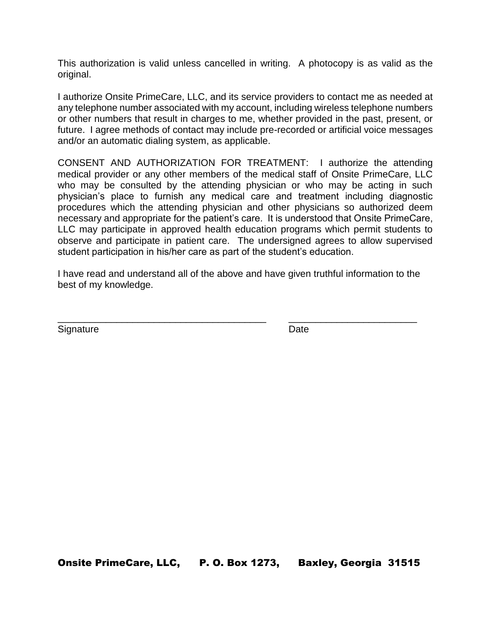This authorization is valid unless cancelled in writing. A photocopy is as valid as the original.

I authorize Onsite PrimeCare, LLC, and its service providers to contact me as needed at any telephone number associated with my account, including wireless telephone numbers or other numbers that result in charges to me, whether provided in the past, present, or future. I agree methods of contact may include pre-recorded or artificial voice messages and/or an automatic dialing system, as applicable.

CONSENT AND AUTHORIZATION FOR TREATMENT: I authorize the attending medical provider or any other members of the medical staff of Onsite PrimeCare, LLC who may be consulted by the attending physician or who may be acting in such physician's place to furnish any medical care and treatment including diagnostic procedures which the attending physician and other physicians so authorized deem necessary and appropriate for the patient's care. It is understood that Onsite PrimeCare, LLC may participate in approved health education programs which permit students to observe and participate in patient care. The undersigned agrees to allow supervised student participation in his/her care as part of the student's education.

I have read and understand all of the above and have given truthful information to the best of my knowledge.

\_\_\_\_\_\_\_\_\_\_\_\_\_\_\_\_\_\_\_\_\_\_\_\_\_\_\_\_\_\_\_\_\_\_\_\_\_\_\_ \_\_\_\_\_\_\_\_\_\_\_\_\_\_\_\_\_\_\_\_\_\_\_\_

Signature Date **Date** 

Onsite PrimeCare, LLC, P. O. Box 1273, Baxley, Georgia 31515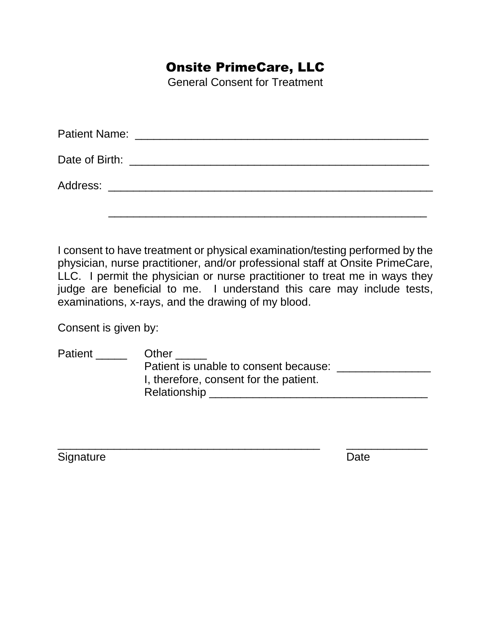### Onsite PrimeCare, LLC

General Consent for Treatment

I consent to have treatment or physical examination/testing performed by the physician, nurse practitioner, and/or professional staff at Onsite PrimeCare, LLC. I permit the physician or nurse practitioner to treat me in ways they judge are beneficial to me. I understand this care may include tests, examinations, x-rays, and the drawing of my blood.

Consent is given by:

| <b>Patient</b> | Other                                  |
|----------------|----------------------------------------|
|                | Patient is unable to consent because:  |
|                | I, therefore, consent for the patient. |
|                | Relationship                           |

\_\_\_\_\_\_\_\_\_\_\_\_\_\_\_\_\_\_\_\_\_\_\_\_\_\_\_\_\_\_\_\_\_\_\_\_\_\_\_\_\_\_ \_\_\_\_\_\_\_\_\_\_\_\_\_

Signature Date **Date**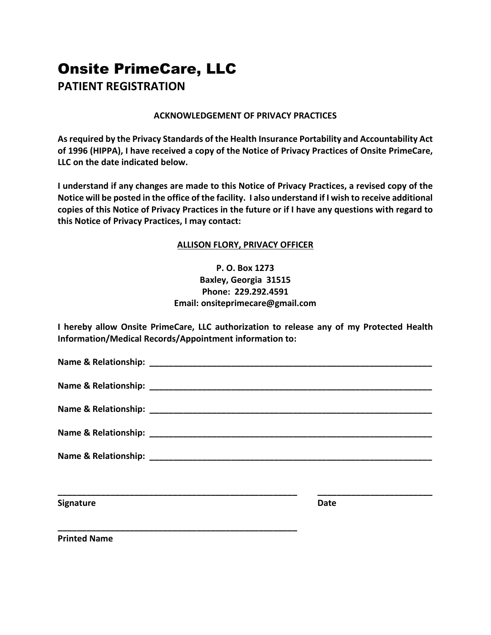## Onsite PrimeCare, LLC **PATIENT REGISTRATION**

#### **ACKNOWLEDGEMENT OF PRIVACY PRACTICES**

**As required by the Privacy Standards of the Health Insurance Portability and Accountability Act of 1996 (HIPPA), I have received a copy of the Notice of Privacy Practices of Onsite PrimeCare, LLC on the date indicated below.**

**I understand if any changes are made to this Notice of Privacy Practices, a revised copy of the Notice will be posted in the office of the facility. I also understand if I wish to receive additional copies of this Notice of Privacy Practices in the future or if I have any questions with regard to this Notice of Privacy Practices, I may contact:**

### **ALLISON FLORY, PRIVACY OFFICER**

**P. O. Box 1273 Baxley, Georgia 31515 Phone: 229.292.4591 Email: onsiteprimecare@gmail.com**

**I hereby allow Onsite PrimeCare, LLC authorization to release any of my Protected Health Information/Medical Records/Appointment information to:**

| <b>Signature</b> | Date |  |
|------------------|------|--|
|                  |      |  |

**Printed Name**